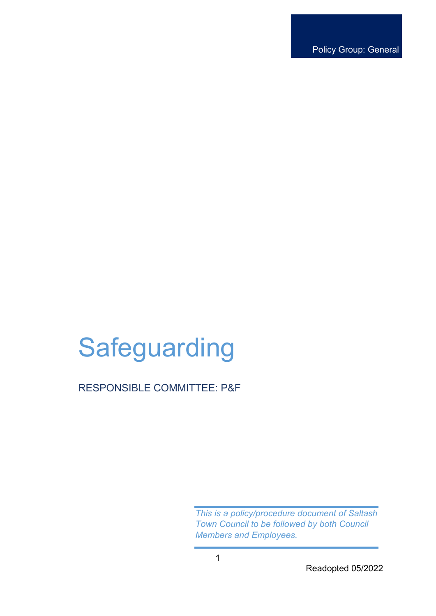Policy Group: General

# **Safeguarding**

RESPONSIBLE COMMITTEE: P&F

*This is a policy/procedure document of Saltash Town Council to be followed by both Council Members and Employees.* 

Readopted 05/2022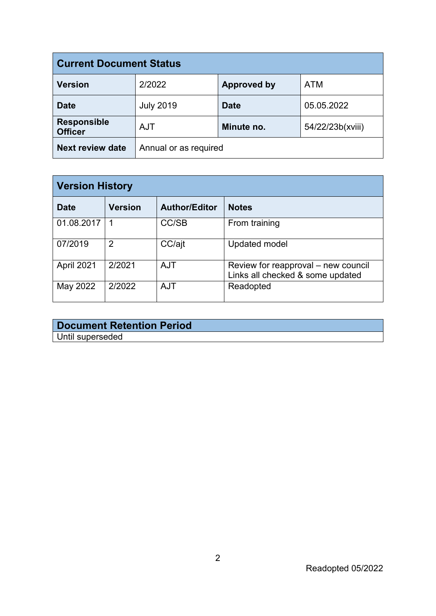| <b>Current Document Status</b>       |                       |                    |                  |  |
|--------------------------------------|-----------------------|--------------------|------------------|--|
| <b>Version</b>                       | 2/2022                | <b>Approved by</b> | <b>ATM</b>       |  |
| <b>Date</b>                          | <b>July 2019</b>      | <b>Date</b>        | 05.05.2022       |  |
| <b>Responsible</b><br><b>Officer</b> | <b>AJT</b>            | Minute no.         | 54/22/23b(xviii) |  |
| <b>Next review date</b>              | Annual or as required |                    |                  |  |

| <b>Version History</b> |                |                      |                                                                         |
|------------------------|----------------|----------------------|-------------------------------------------------------------------------|
| Date                   | <b>Version</b> | <b>Author/Editor</b> | <b>Notes</b>                                                            |
| 01.08.2017             |                | CC/SB                | From training                                                           |
| 07/2019                | 2              | CC/ajt               | <b>Updated model</b>                                                    |
| April 2021             | 2/2021         | <b>AJT</b>           | Review for reapproval – new council<br>Links all checked & some updated |
| May 2022               | 2/2022         | <b>AJT</b>           | Readopted                                                               |

## **Document Retention Period** Until superseded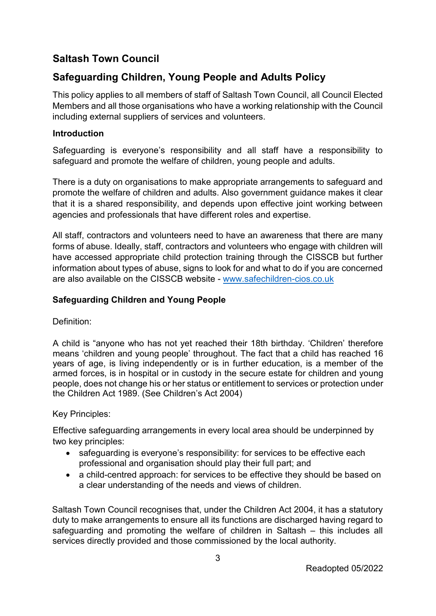# **Saltash Town Council**

# **Safeguarding Children, Young People and Adults Policy**

This policy applies to all members of staff of Saltash Town Council, all Council Elected Members and all those organisations who have a working relationship with the Council including external suppliers of services and volunteers.

## **Introduction**

Safeguarding is everyone's responsibility and all staff have a responsibility to safeguard and promote the welfare of children, young people and adults.

There is a duty on organisations to make appropriate arrangements to safeguard and promote the welfare of children and adults. Also government guidance makes it clear that it is a shared responsibility, and depends upon effective joint working between agencies and professionals that have different roles and expertise.

All staff, contractors and volunteers need to have an awareness that there are many forms of abuse. Ideally, staff, contractors and volunteers who engage with children will have accessed appropriate child protection training through the CISSCB but further information about types of abuse, signs to look for and what to do if you are concerned are also available on the CISSCB website - www.safechildren-cios.co.uk

## **Safeguarding Children and Young People**

Definition:

A child is "anyone who has not yet reached their 18th birthday. 'Children' therefore means 'children and young people' throughout. The fact that a child has reached 16 years of age, is living independently or is in further education, is a member of the armed forces, is in hospital or in custody in the secure estate for children and young people, does not change his or her status or entitlement to services or protection under the Children Act 1989. (See Children's Act 2004)

## Key Principles:

Effective safeguarding arrangements in every local area should be underpinned by two key principles:

- safeguarding is everyone's responsibility: for services to be effective each professional and organisation should play their full part; and
- a child-centred approach: for services to be effective they should be based on a clear understanding of the needs and views of children.

Saltash Town Council recognises that, under the Children Act 2004, it has a statutory duty to make arrangements to ensure all its functions are discharged having regard to safeguarding and promoting the welfare of children in Saltash – this includes all services directly provided and those commissioned by the local authority.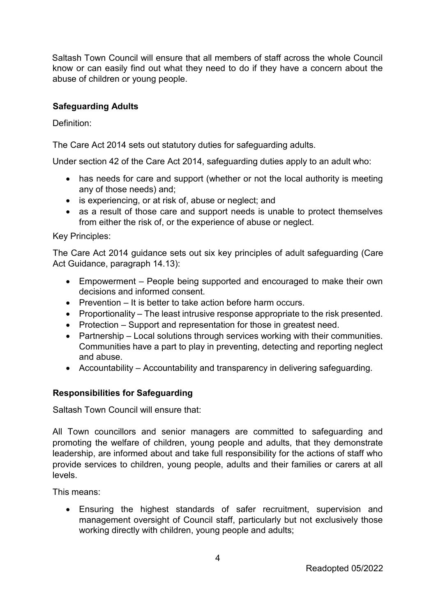Saltash Town Council will ensure that all members of staff across the whole Council know or can easily find out what they need to do if they have a concern about the abuse of children or young people.

## **Safeguarding Adults**

Definition:

The Care Act 2014 sets out statutory duties for safeguarding adults.

Under section 42 of the Care Act 2014, safeguarding duties apply to an adult who:

- has needs for care and support (whether or not the local authority is meeting any of those needs) and;
- is experiencing, or at risk of, abuse or neglect; and
- as a result of those care and support needs is unable to protect themselves from either the risk of, or the experience of abuse or neglect.

## Key Principles:

The Care Act 2014 guidance sets out six key principles of adult safeguarding (Care Act Guidance, paragraph 14.13):

- Empowerment People being supported and encouraged to make their own decisions and informed consent.
- Prevention It is better to take action before harm occurs.
- Proportionality The least intrusive response appropriate to the risk presented.
- Protection Support and representation for those in greatest need.
- Partnership Local solutions through services working with their communities. Communities have a part to play in preventing, detecting and reporting neglect and abuse.
- Accountability Accountability and transparency in delivering safeguarding.

## **Responsibilities for Safeguarding**

Saltash Town Council will ensure that:

All Town councillors and senior managers are committed to safeguarding and promoting the welfare of children, young people and adults, that they demonstrate leadership, are informed about and take full responsibility for the actions of staff who provide services to children, young people, adults and their families or carers at all levels.

This means:

• Ensuring the highest standards of safer recruitment, supervision and management oversight of Council staff, particularly but not exclusively those working directly with children, young people and adults;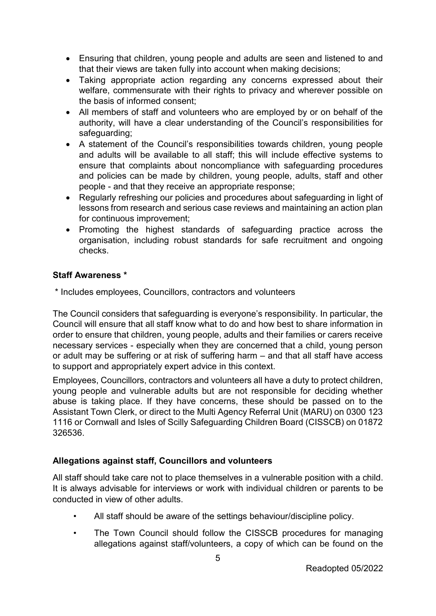- Ensuring that children, young people and adults are seen and listened to and that their views are taken fully into account when making decisions;
- Taking appropriate action regarding any concerns expressed about their welfare, commensurate with their rights to privacy and wherever possible on the basis of informed consent;
- All members of staff and volunteers who are employed by or on behalf of the authority, will have a clear understanding of the Council's responsibilities for safeguarding;
- A statement of the Council's responsibilities towards children, young people and adults will be available to all staff; this will include effective systems to ensure that complaints about noncompliance with safeguarding procedures and policies can be made by children, young people, adults, staff and other people - and that they receive an appropriate response;
- Regularly refreshing our policies and procedures about safeguarding in light of lessons from research and serious case reviews and maintaining an action plan for continuous improvement;
- Promoting the highest standards of safeguarding practice across the organisation, including robust standards for safe recruitment and ongoing checks.

## **Staff Awareness \***

\* Includes employees, Councillors, contractors and volunteers

The Council considers that safeguarding is everyone's responsibility. In particular, the Council will ensure that all staff know what to do and how best to share information in order to ensure that children, young people, adults and their families or carers receive necessary services - especially when they are concerned that a child, young person or adult may be suffering or at risk of suffering harm – and that all staff have access to support and appropriately expert advice in this context.

Employees, Councillors, contractors and volunteers all have a duty to protect children, young people and vulnerable adults but are not responsible for deciding whether abuse is taking place. If they have concerns, these should be passed on to the Assistant Town Clerk, or direct to the Multi Agency Referral Unit (MARU) on 0300 123 1116 or Cornwall and Isles of Scilly Safeguarding Children Board (CISSCB) on 01872 326536.

## **Allegations against staff, Councillors and volunteers**

All staff should take care not to place themselves in a vulnerable position with a child. It is always advisable for interviews or work with individual children or parents to be conducted in view of other adults.

- All staff should be aware of the settings behaviour/discipline policy.
- The Town Council should follow the CISSCB procedures for managing allegations against staff/volunteers, a copy of which can be found on the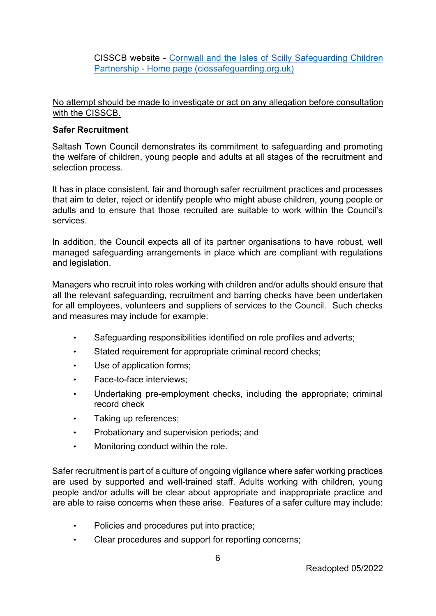CISSCB website - [Cornwall and the Isles of Scilly Safeguarding Children](https://ciossafeguarding.org.uk/scp)  [Partnership - Home page \(ciossafeguarding.org.uk\)](https://ciossafeguarding.org.uk/scp) 

## No attempt should be made to investigate or act on any allegation before consultation with the CISSCB.

## **Safer Recruitment**

Saltash Town Council demonstrates its commitment to safeguarding and promoting the welfare of children, young people and adults at all stages of the recruitment and selection process.

It has in place consistent, fair and thorough safer recruitment practices and processes that aim to deter, reject or identify people who might abuse children, young people or adults and to ensure that those recruited are suitable to work within the Council's services.

In addition, the Council expects all of its partner organisations to have robust, well managed safeguarding arrangements in place which are compliant with regulations and legislation.

Managers who recruit into roles working with children and/or adults should ensure that all the relevant safeguarding, recruitment and barring checks have been undertaken for all employees, volunteers and suppliers of services to the Council. Such checks and measures may include for example:

- Safeguarding responsibilities identified on role profiles and adverts;
- Stated requirement for appropriate criminal record checks;
- Use of application forms:
- Face-to-face interviews;
- Undertaking pre-employment checks, including the appropriate; criminal record check
- Taking up references;
- Probationary and supervision periods; and
- Monitoring conduct within the role.

Safer recruitment is part of a culture of ongoing vigilance where safer working practices are used by supported and well-trained staff. Adults working with children, young people and/or adults will be clear about appropriate and inappropriate practice and are able to raise concerns when these arise. Features of a safer culture may include:

- Policies and procedures put into practice;
- Clear procedures and support for reporting concerns;